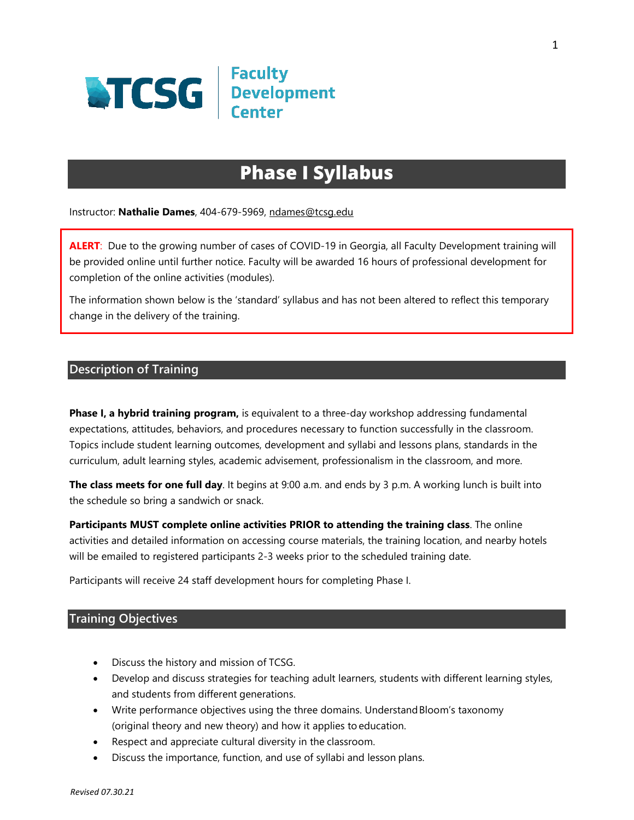

# **Phase I Syllabus**

Instructor: **Nathalie Dames**, 404-679-5969, [ndames@tcsg.edu](mailto:ndames@tcsg.edu)

**ALERT**: Due to the growing number of cases of COVID-19 in Georgia, all Faculty Development training will be provided online until further notice. Faculty will be awarded 16 hours of professional development for completion of the online activities (modules).

The information shown below is the 'standard' syllabus and has not been altered to reflect this temporary change in the delivery of the training.

# **Description of Training**

**Phase I, a hybrid training program,** is equivalent to a three-day workshop addressing fundamental expectations, attitudes, behaviors, and procedures necessary to function successfully in the classroom. Topics include student learning outcomes, development and syllabi and lessons plans, standards in the curriculum, adult learning styles, academic advisement, professionalism in the classroom, and more.

**The class meets for one full day**. It begins at 9:00 a.m. and ends by 3 p.m. A working lunch is built into the schedule so bring a sandwich or snack.

**Participants MUST complete online activities PRIOR to attending the training class**. The online activities and detailed information on accessing course materials, the training location, and nearby hotels will be emailed to registered participants 2-3 weeks prior to the scheduled training date.

Participants will receive 24 staff development hours for completing Phase I.

# **Training Objectives**

- Discuss the history and mission of TCSG.
- Develop and discuss strategies for teaching adult learners, students with different learning styles, and students from different generations.
- Write performance objectives using the three domains. Understand Bloom's taxonomy (original theory and new theory) and how it applies to education.
- Respect and appreciate cultural diversity in the classroom.
- Discuss the importance, function, and use of syllabi and lesson plans.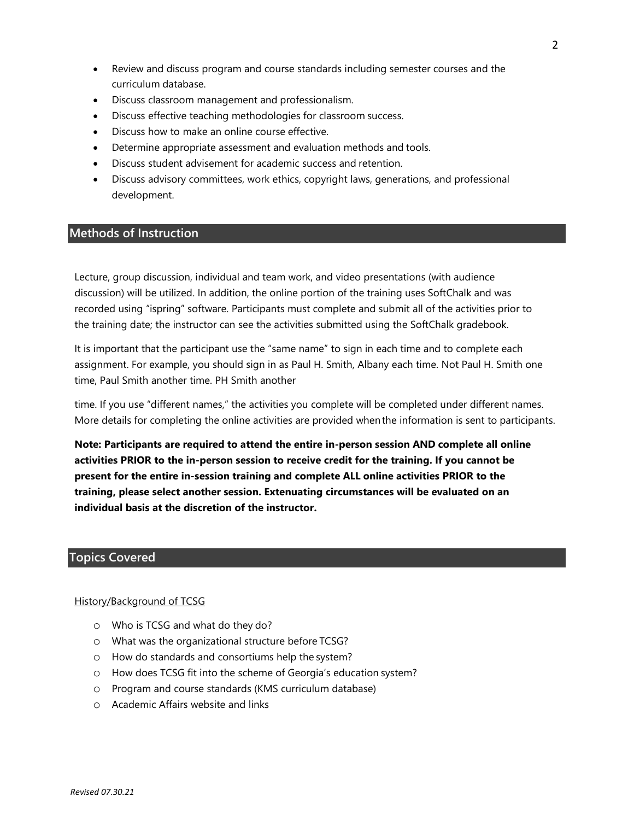- Review and discuss program and course standards including semester courses and the curriculum database.
- Discuss classroom management and professionalism.
- Discuss effective teaching methodologies for classroom success.
- Discuss how to make an online course effective.
- Determine appropriate assessment and evaluation methods and tools.
- Discuss student advisement for academic success and retention.
- Discuss advisory committees, work ethics, copyright laws, generations, and professional development.

## **Methods of Instruction**

Lecture, group discussion, individual and team work, and video presentations (with audience discussion) will be utilized. In addition, the online portion of the training uses SoftChalk and was recorded using "ispring" software. Participants must complete and submit all of the activities prior to the training date; the instructor can see the activities submitted using the SoftChalk gradebook.

It is important that the participant use the "same name" to sign in each time and to complete each assignment. For example, you should sign in as Paul H. Smith, Albany each time. Not Paul H. Smith one time, Paul Smith another time. PH Smith another

time. If you use "different names," the activities you complete will be completed under different names. More details for completing the online activities are provided whenthe information is sent to participants.

**Note: Participants are required to attend the entire in-person session AND complete all online activities PRIOR to the in-person session to receive credit for the training. If you cannot be present for the entire in-session training and complete ALL online activities PRIOR to the training, please select another session. Extenuating circumstances will be evaluated on an individual basis at the discretion of the instructor.**

# **Topics Covered**

#### History/Background of TCSG

- o Who is TCSG and what do they do?
- o What was the organizational structure before TCSG?
- o How do standards and consortiums help the system?
- o How does TCSG fit into the scheme of Georgia's education system?
- o Program and course standards (KMS curriculum database)
- o Academic Affairs website and links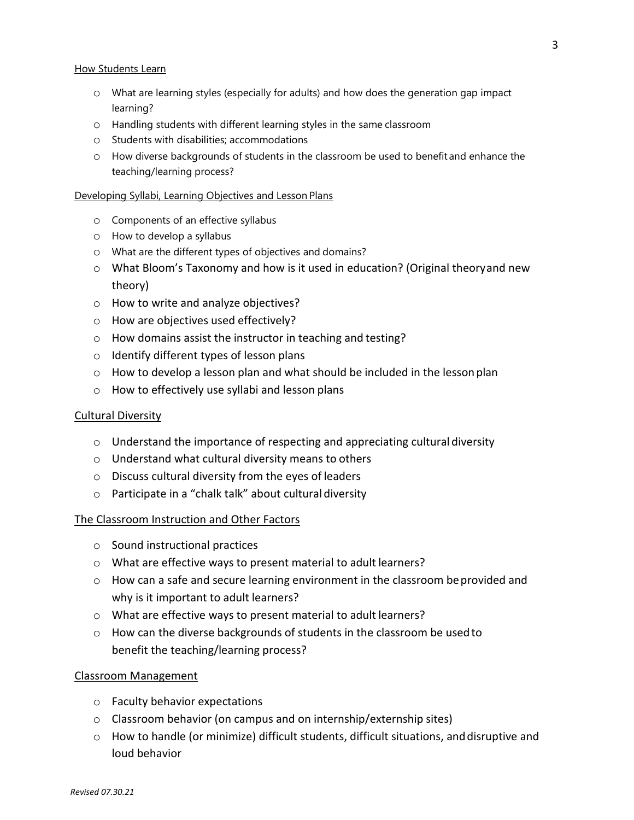#### How Students Learn

- o What are learning styles (especially for adults) and how does the generation gap impact learning?
- o Handling students with different learning styles in the same classroom
- o Students with disabilities; accommodations
- o How diverse backgrounds of students in the classroom be used to benefit and enhance the teaching/learning process?

#### Developing Syllabi, Learning Objectives and Lesson Plans

- o Components of an effective syllabus
- o How to develop a syllabus
- o What are the different types of objectives and domains?
- o What Bloom's Taxonomy and how is it used in education? (Original theoryand new theory)
- o How to write and analyze objectives?
- o How are objectives used effectively?
- o How domains assist the instructor in teaching and testing?
- o Identify different types of lesson plans
- $\circ$  How to develop a lesson plan and what should be included in the lesson plan
- o How to effectively use syllabi and lesson plans

## Cultural Diversity

- $\circ$  Understand the importance of respecting and appreciating cultural diversity
- o Understand what cultural diversity means to others
- o Discuss cultural diversity from the eyes of leaders
- o Participate in a "chalk talk" about culturaldiversity

## The Classroom Instruction and Other Factors

- o Sound instructional practices
- o What are effective ways to present material to adult learners?
- o How can a safe and secure learning environment in the classroom beprovided and why is it important to adult learners?
- o What are effective ways to present material to adult learners?
- $\circ$  How can the diverse backgrounds of students in the classroom be used to benefit the teaching/learning process?

## Classroom Management

- o Faculty behavior expectations
- o Classroom behavior (on campus and on internship/externship sites)
- $\circ$  How to handle (or minimize) difficult students, difficult situations, and disruptive and loud behavior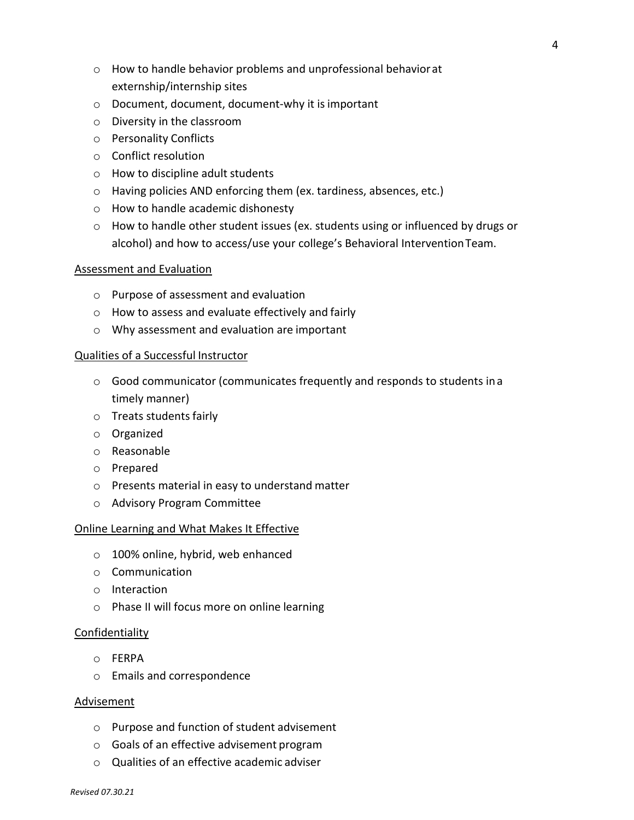- o How to handle behavior problems and unprofessional behaviorat externship/internship sites
- o Document, document, document-why it isimportant
- o Diversity in the classroom
- o Personality Conflicts
- o Conflict resolution
- o How to discipline adult students
- o Having policies AND enforcing them (ex. tardiness, absences, etc.)
- o How to handle academic dishonesty
- $\circ$  How to handle other student issues (ex. students using or influenced by drugs or alcohol) and how to access/use your college's Behavioral InterventionTeam.

## Assessment and Evaluation

- o Purpose of assessment and evaluation
- o How to assess and evaluate effectively and fairly
- o Why assessment and evaluation are important

## Qualities of a Successful Instructor

- o Good communicator (communicates frequently and responds to students ina timely manner)
- $\circ$  Treats students fairly
- o Organized
- o Reasonable
- o Prepared
- o Presents material in easy to understand matter
- o Advisory Program Committee

## Online Learning and What Makes It Effective

- o 100% online, hybrid, web enhanced
- o Communication
- o Interaction
- o Phase II will focus more on online learning

#### Confidentiality

- o FERPA
- o Emails and correspondence

#### Advisement

- o Purpose and function of student advisement
- o Goals of an effective advisement program
- o Qualities of an effective academic adviser